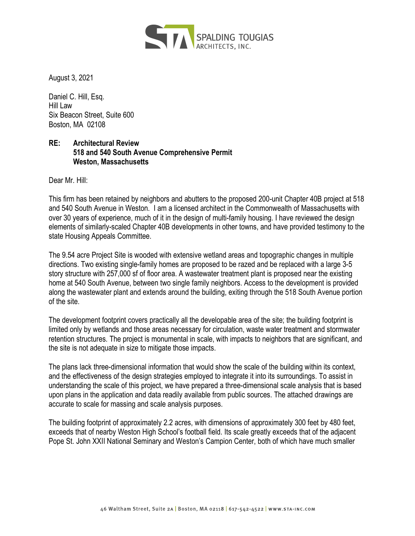

August 3, 2021

Daniel C. Hill, Esq. Hill Law Six Beacon Street, Suite 600 Boston, MA 02108

## **RE: Architectural Review 518 and 540 South Avenue Comprehensive Permit Weston, Massachusetts**

Dear Mr. Hill:

This firm has been retained by neighbors and abutters to the proposed 200-unit Chapter 40B project at 518 and 540 South Avenue in Weston. I am a licensed architect in the Commonwealth of Massachusetts with over 30 years of experience, much of it in the design of multi-family housing. I have reviewed the design elements of similarly-scaled Chapter 40B developments in other towns, and have provided testimony to the state Housing Appeals Committee.

The 9.54 acre Project Site is wooded with extensive wetland areas and topographic changes in multiple directions. Two existing single-family homes are proposed to be razed and be replaced with a large 3-5 story structure with 257,000 sf of floor area. A wastewater treatment plant is proposed near the existing home at 540 South Avenue, between two single family neighbors. Access to the development is provided along the wastewater plant and extends around the building, exiting through the 518 South Avenue portion of the site.

The development footprint covers practically all the developable area of the site; the building footprint is limited only by wetlands and those areas necessary for circulation, waste water treatment and stormwater retention structures. The project is monumental in scale, with impacts to neighbors that are significant, and the site is not adequate in size to mitigate those impacts.

The plans lack three-dimensional information that would show the scale of the building within its context, and the effectiveness of the design strategies employed to integrate it into its surroundings. To assist in understanding the scale of this project, we have prepared a three-dimensional scale analysis that is based upon plans in the application and data readily available from public sources. The attached drawings are accurate to scale for massing and scale analysis purposes.

The building footprint of approximately 2.2 acres, with dimensions of approximately 300 feet by 480 feet, exceeds that of nearby Weston High School's football field. Its scale greatly exceeds that of the adjacent Pope St. John XXII National Seminary and Weston's Campion Center, both of which have much smaller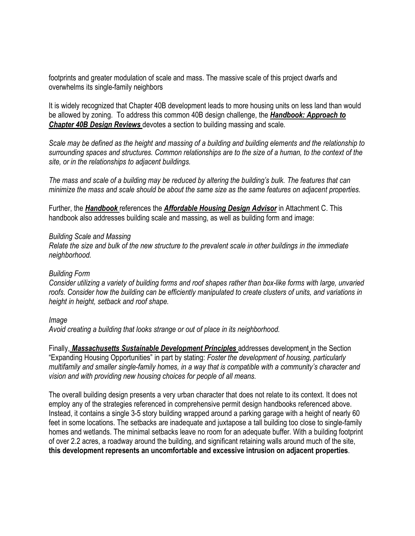footprints and greater modulation of scale and mass. The massive scale of this project dwarfs and overwhelms its single-family neighbors

It is widely recognized that Chapter 40B development leads to more housing units on less land than would be allowed by zoning. To address this common 40B design challenge, the *Handbook: Approach to Chapter 40B Design Reviews* devotes a section to building massing and scale.

*Scale may be defined as the height and massing of a building and building elements and the relationship to surrounding spaces and structures. Common relationships are to the size of a human, to the context of the site, or in the relationships to adjacent buildings.*

*The mass and scale of a building may be reduced by altering the building's bulk. The features that can minimize the mass and scale should be about the same size as the same features on adjacent properties.*

Further, the *Handbook* references the *Affordable Housing Design Advisor* in Attachment C. This handbook also addresses building scale and massing, as well as building form and image:

## *Building Scale and Massing*

*Relate the size and bulk of the new structure to the prevalent scale in other buildings in the immediate neighborhood.*

## *Building Form*

*Consider utilizing a variety of building forms and roof shapes rather than box-like forms with large, unvaried roofs. Consider how the building can be efficiently manipulated to create clusters of units, and variations in height in height, setback and roof shape.*

## *Image*

*Avoid creating a building that looks strange or out of place in its neighborhood.*

Finally, *Massachusetts Sustainable Development Principles* addresses development in the Section "Expanding Housing Opportunities" in part by stating: *Foster the development of housing, particularly multifamily and smaller single-family homes, in a way that is compatible with a community's character and vision and with providing new housing choices for people of all means.*

The overall building design presents a very urban character that does not relate to its context. It does not employ any of the strategies referenced in comprehensive permit design handbooks referenced above. Instead, it contains a single 3-5 story building wrapped around a parking garage with a height of nearly 60 feet in some locations. The setbacks are inadequate and juxtapose a tall building too close to single-family homes and wetlands. The minimal setbacks leave no room for an adequate buffer. With a building footprint of over 2.2 acres, a roadway around the building, and significant retaining walls around much of the site, **this development represents an uncomfortable and excessive intrusion on adjacent properties**.